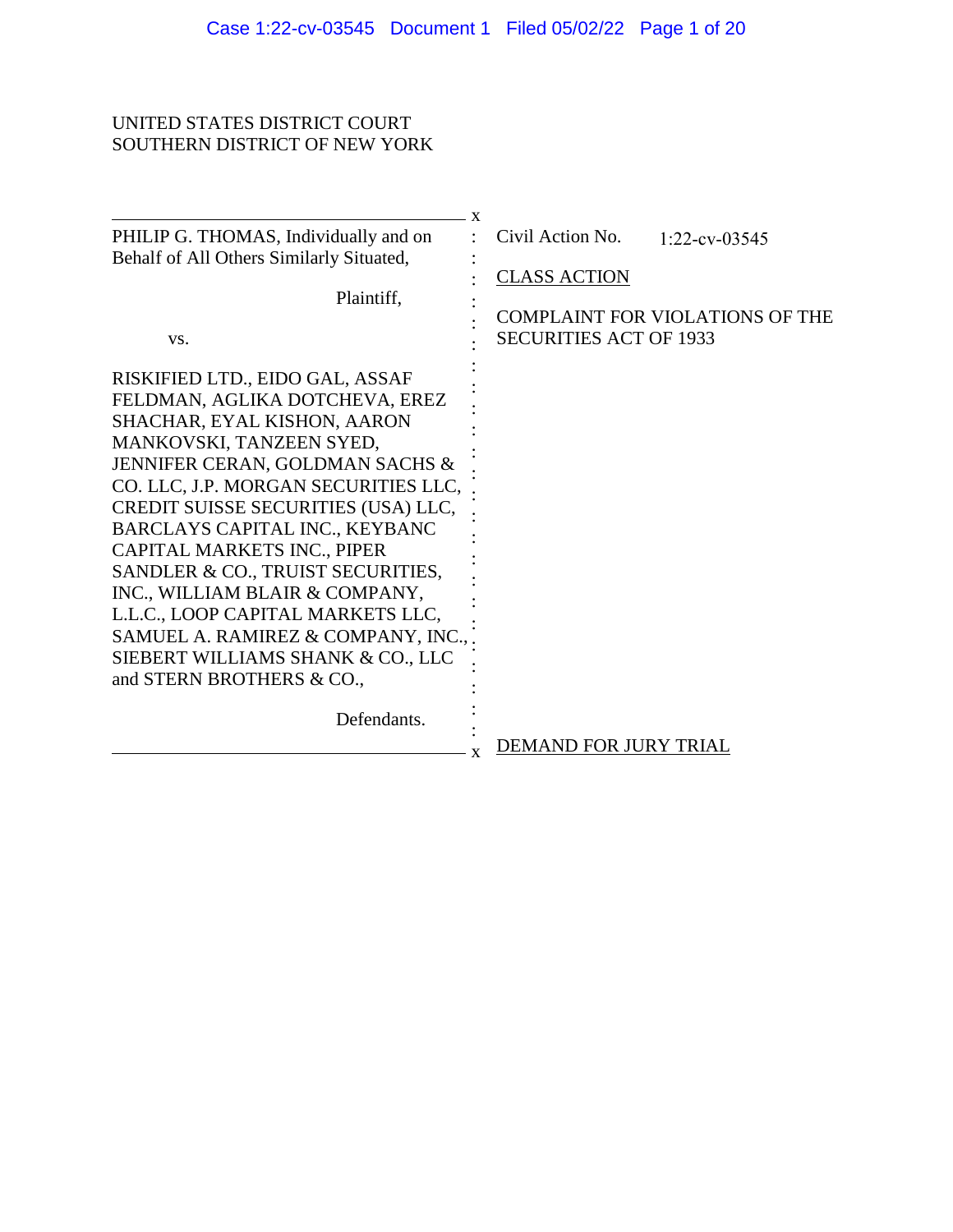# UNITED STATES DISTRICT COURT SOUTHERN DISTRICT OF NEW YORK

| PHILIP G. THOMAS, Individually and on<br>Behalf of All Others Similarly Situated,<br>Plaintiff,<br>VS.                                                                                                                                                                                                                                                                                                                                                                                                                                             | $\mathbf{x}$<br>Civil Action No.<br>$1:22$ -cv-03545<br><b>CLASS ACTION</b><br>COMPLAINT FOR VIOLATIONS OF THE<br><b>SECURITIES ACT OF 1933</b> |
|----------------------------------------------------------------------------------------------------------------------------------------------------------------------------------------------------------------------------------------------------------------------------------------------------------------------------------------------------------------------------------------------------------------------------------------------------------------------------------------------------------------------------------------------------|-------------------------------------------------------------------------------------------------------------------------------------------------|
| RISKIFIED LTD., EIDO GAL, ASSAF<br>FELDMAN, AGLIKA DOTCHEVA, EREZ<br>SHACHAR, EYAL KISHON, AARON<br>MANKOVSKI, TANZEEN SYED,<br>JENNIFER CERAN, GOLDMAN SACHS &<br>CO. LLC, J.P. MORGAN SECURITIES LLC,<br>CREDIT SUISSE SECURITIES (USA) LLC,<br>BARCLAYS CAPITAL INC., KEYBANC<br>CAPITAL MARKETS INC., PIPER<br>SANDLER & CO., TRUIST SECURITIES,<br>INC., WILLIAM BLAIR & COMPANY,<br>L.L.C., LOOP CAPITAL MARKETS LLC,<br>SAMUEL A. RAMIREZ & COMPANY, INC.,<br>SIEBERT WILLIAMS SHANK & CO., LLC<br>and STERN BROTHERS & CO.,<br>Defendants. |                                                                                                                                                 |
|                                                                                                                                                                                                                                                                                                                                                                                                                                                                                                                                                    | DEMAND FOR JURY TRIAL<br>X                                                                                                                      |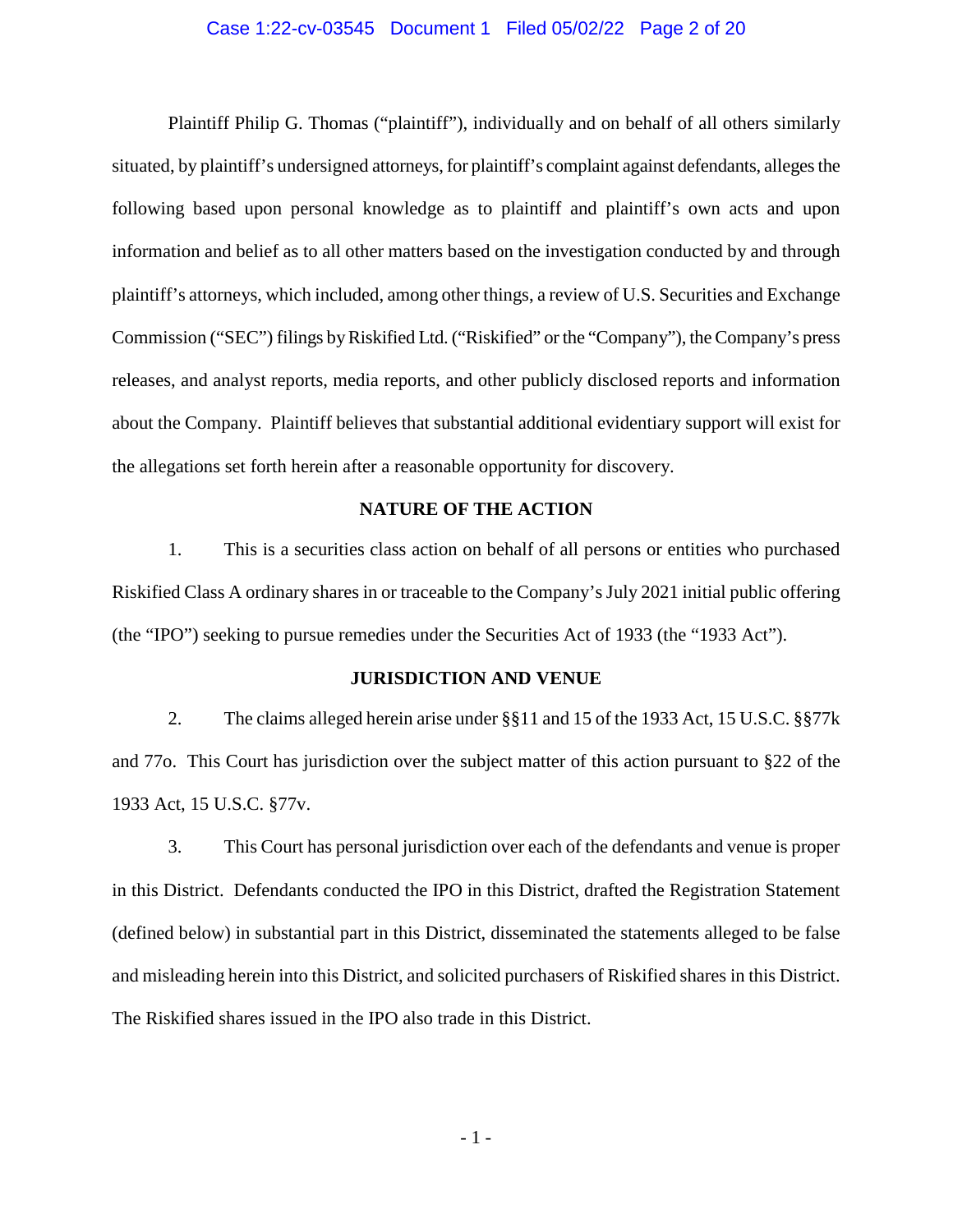### Case 1:22-cv-03545 Document 1 Filed 05/02/22 Page 2 of 20

Plaintiff Philip G. Thomas ("plaintiff"), individually and on behalf of all others similarly situated, by plaintiff's undersigned attorneys, for plaintiff's complaint against defendants, alleges the following based upon personal knowledge as to plaintiff and plaintiff's own acts and upon information and belief as to all other matters based on the investigation conducted by and through plaintiff's attorneys, which included, among other things, a review of U.S. Securities and Exchange Commission ("SEC") filings by Riskified Ltd. ("Riskified" or the "Company"), the Company's press releases, and analyst reports, media reports, and other publicly disclosed reports and information about the Company. Plaintiff believes that substantial additional evidentiary support will exist for the allegations set forth herein after a reasonable opportunity for discovery.

### **NATURE OF THE ACTION**

1. This is a securities class action on behalf of all persons or entities who purchased Riskified Class A ordinary shares in or traceable to the Company's July 2021 initial public offering (the "IPO") seeking to pursue remedies under the Securities Act of 1933 (the "1933 Act").

### **JURISDICTION AND VENUE**

2. The claims alleged herein arise under §§11 and 15 of the 1933 Act, 15 U.S.C. §§77k and 77o. This Court has jurisdiction over the subject matter of this action pursuant to §22 of the 1933 Act, 15 U.S.C. §77v.

3. This Court has personal jurisdiction over each of the defendants and venue is proper in this District. Defendants conducted the IPO in this District, drafted the Registration Statement (defined below) in substantial part in this District, disseminated the statements alleged to be false and misleading herein into this District, and solicited purchasers of Riskified shares in this District. The Riskified shares issued in the IPO also trade in this District.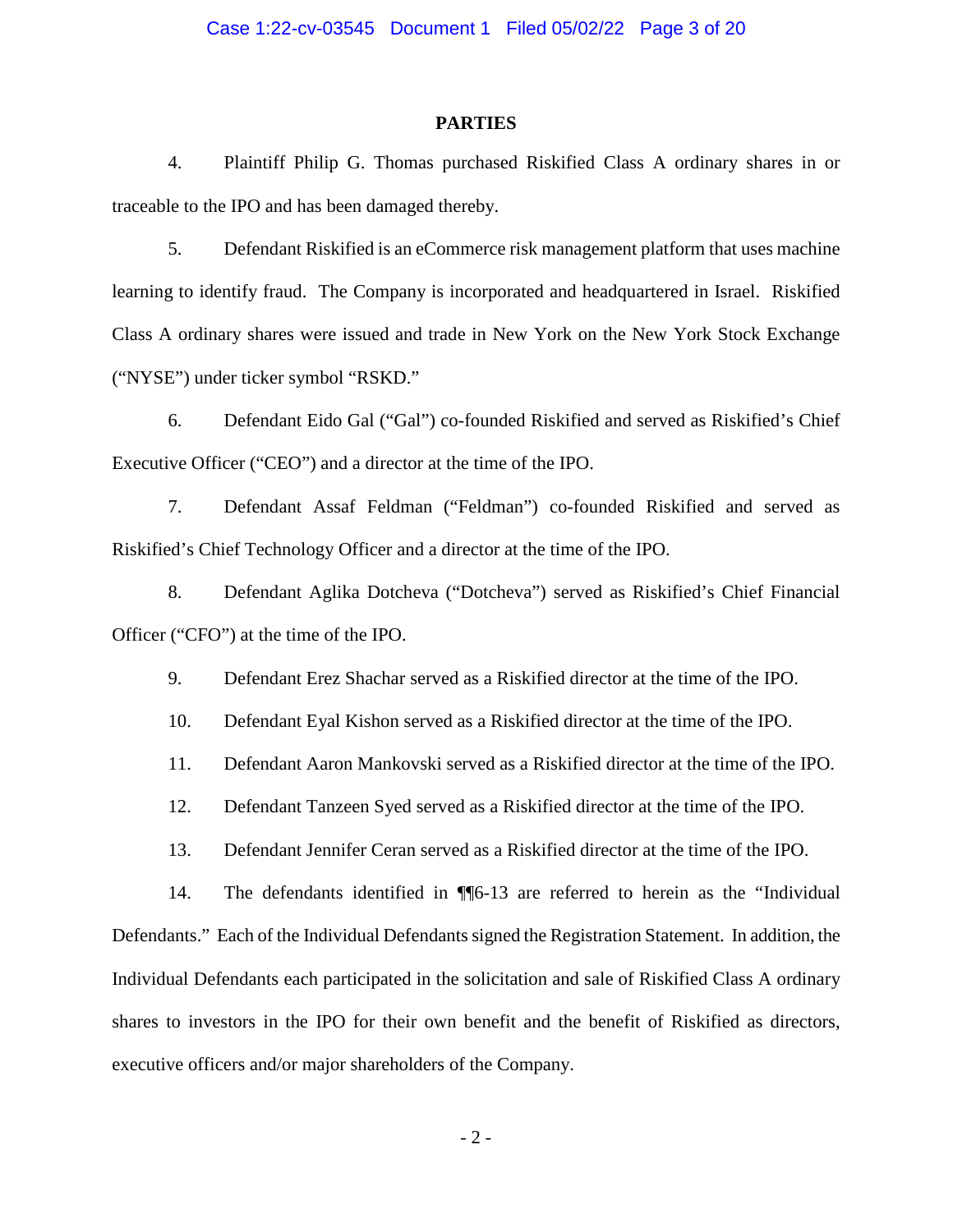### **PARTIES**

4. Plaintiff Philip G. Thomas purchased Riskified Class A ordinary shares in or traceable to the IPO and has been damaged thereby.

5. Defendant Riskified is an eCommerce risk management platform that uses machine learning to identify fraud. The Company is incorporated and headquartered in Israel. Riskified Class A ordinary shares were issued and trade in New York on the New York Stock Exchange ("NYSE") under ticker symbol "RSKD."

6. Defendant Eido Gal ("Gal") co-founded Riskified and served as Riskified's Chief Executive Officer ("CEO") and a director at the time of the IPO.

7. Defendant Assaf Feldman ("Feldman") co-founded Riskified and served as Riskified's Chief Technology Officer and a director at the time of the IPO.

8. Defendant Aglika Dotcheva ("Dotcheva") served as Riskified's Chief Financial Officer ("CFO") at the time of the IPO.

9. Defendant Erez Shachar served as a Riskified director at the time of the IPO.

10. Defendant Eyal Kishon served as a Riskified director at the time of the IPO.

11. Defendant Aaron Mankovski served as a Riskified director at the time of the IPO.

12. Defendant Tanzeen Syed served as a Riskified director at the time of the IPO.

13. Defendant Jennifer Ceran served as a Riskified director at the time of the IPO.

14. The defendants identified in ¶¶6-13 are referred to herein as the "Individual Defendants." Each of the Individual Defendants signed the Registration Statement. In addition, the Individual Defendants each participated in the solicitation and sale of Riskified Class A ordinary shares to investors in the IPO for their own benefit and the benefit of Riskified as directors, executive officers and/or major shareholders of the Company.

 $-2 -$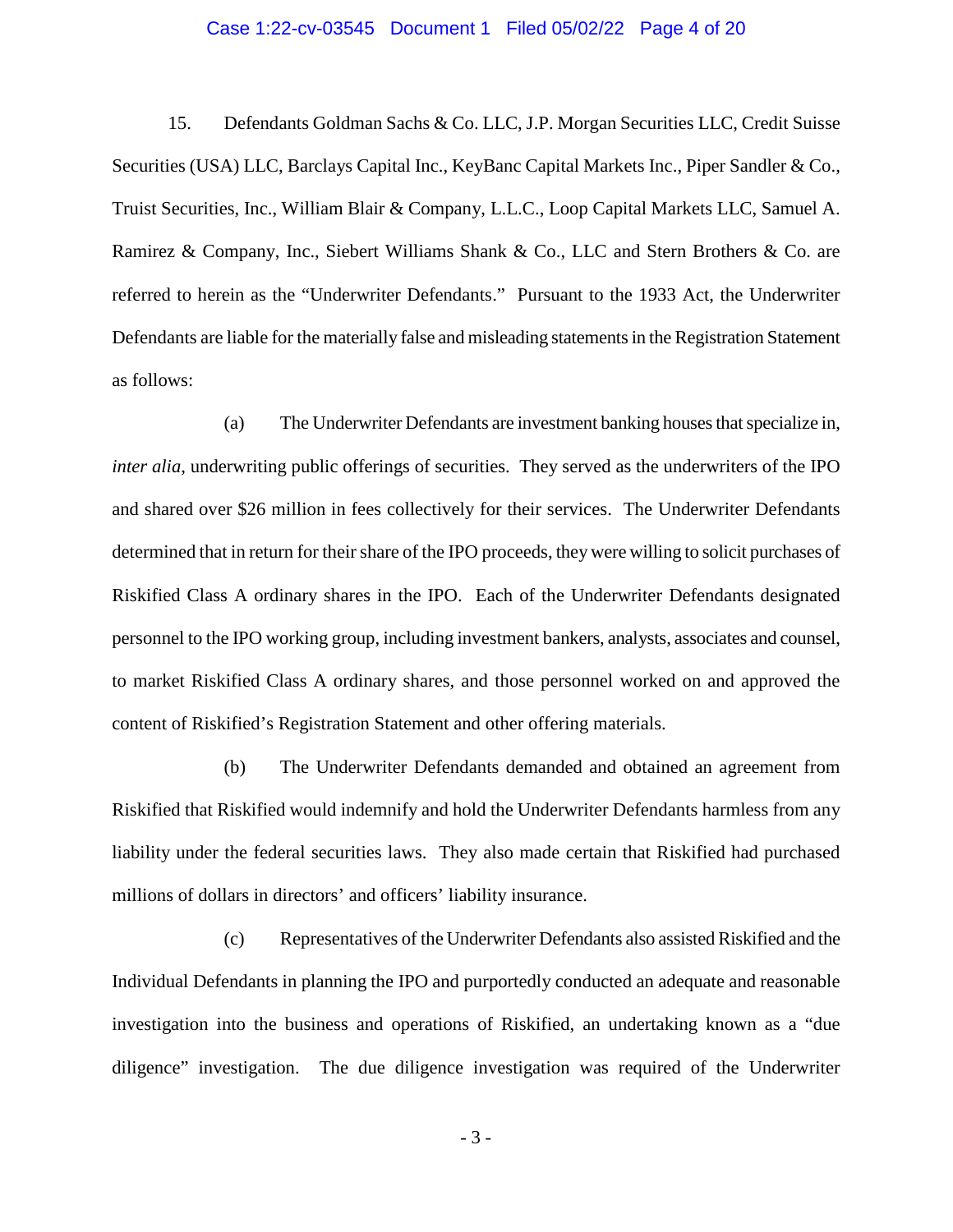### Case 1:22-cv-03545 Document 1 Filed 05/02/22 Page 4 of 20

15. Defendants Goldman Sachs & Co. LLC, J.P. Morgan Securities LLC, Credit Suisse Securities (USA) LLC, Barclays Capital Inc., KeyBanc Capital Markets Inc., Piper Sandler & Co., Truist Securities, Inc., William Blair & Company, L.L.C., Loop Capital Markets LLC, Samuel A. Ramirez & Company, Inc., Siebert Williams Shank & Co., LLC and Stern Brothers & Co. are referred to herein as the "Underwriter Defendants." Pursuant to the 1933 Act, the Underwriter Defendants are liable for the materially false and misleading statements in the Registration Statement as follows:

(a) The Underwriter Defendants are investment banking houses that specialize in, *inter alia*, underwriting public offerings of securities. They served as the underwriters of the IPO and shared over \$26 million in fees collectively for their services. The Underwriter Defendants determined that in return for their share of the IPO proceeds, they were willing to solicit purchases of Riskified Class A ordinary shares in the IPO. Each of the Underwriter Defendants designated personnel to the IPO working group, including investment bankers, analysts, associates and counsel, to market Riskified Class A ordinary shares, and those personnel worked on and approved the content of Riskified's Registration Statement and other offering materials.

(b) The Underwriter Defendants demanded and obtained an agreement from Riskified that Riskified would indemnify and hold the Underwriter Defendants harmless from any liability under the federal securities laws. They also made certain that Riskified had purchased millions of dollars in directors' and officers' liability insurance.

(c) Representatives of the Underwriter Defendants also assisted Riskified and the Individual Defendants in planning the IPO and purportedly conducted an adequate and reasonable investigation into the business and operations of Riskified, an undertaking known as a "due diligence" investigation. The due diligence investigation was required of the Underwriter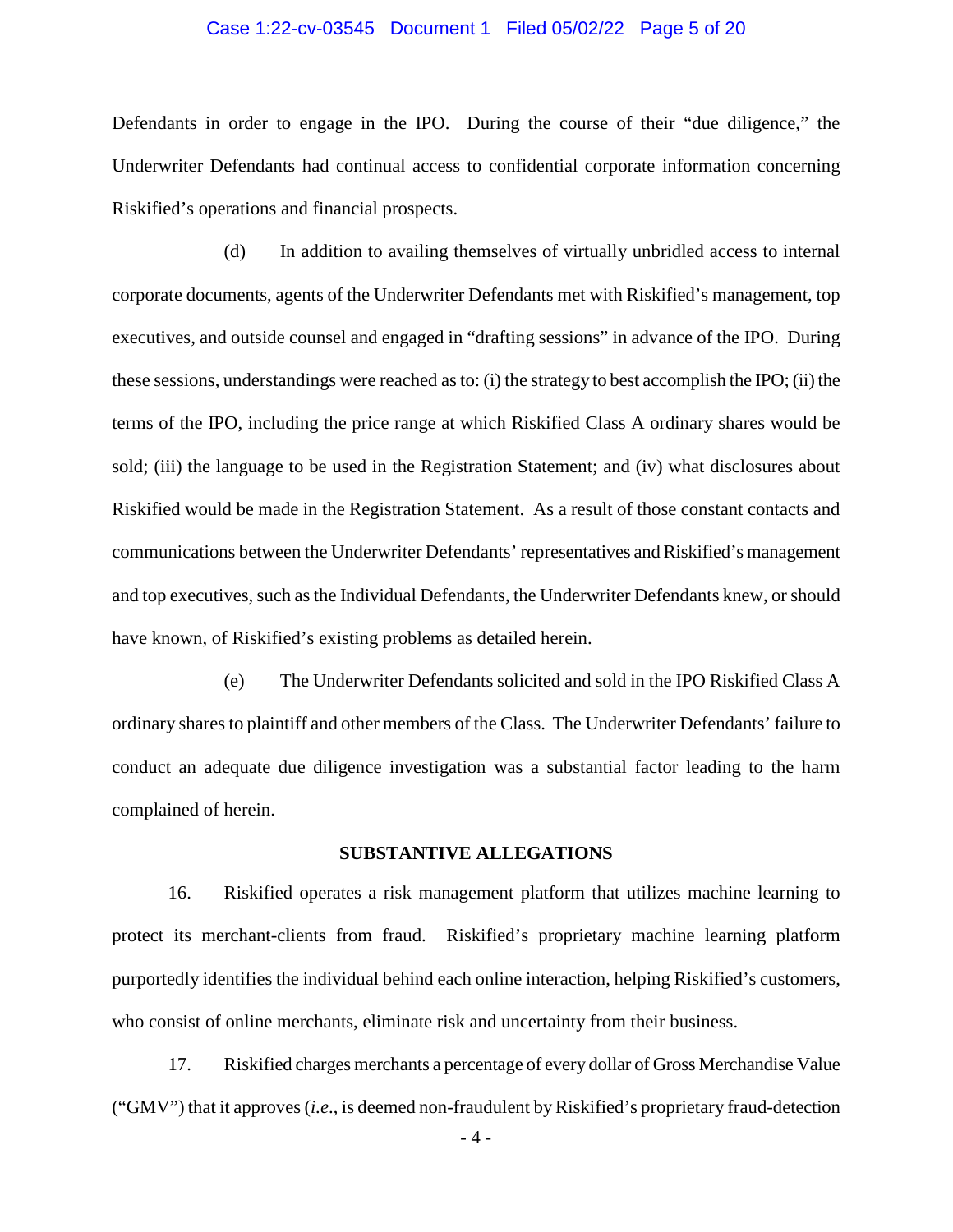### Case 1:22-cv-03545 Document 1 Filed 05/02/22 Page 5 of 20

Defendants in order to engage in the IPO. During the course of their "due diligence," the Underwriter Defendants had continual access to confidential corporate information concerning Riskified's operations and financial prospects.

(d) In addition to availing themselves of virtually unbridled access to internal corporate documents, agents of the Underwriter Defendants met with Riskified's management, top executives, and outside counsel and engaged in "drafting sessions" in advance of the IPO. During these sessions, understandings were reached as to: (i) the strategy to best accomplish the IPO; (ii) the terms of the IPO, including the price range at which Riskified Class A ordinary shares would be sold; (iii) the language to be used in the Registration Statement; and (iv) what disclosures about Riskified would be made in the Registration Statement. As a result of those constant contacts and communications between the Underwriter Defendants' representatives and Riskified's management and top executives, such as the Individual Defendants, the Underwriter Defendants knew, or should have known, of Riskified's existing problems as detailed herein.

(e) The Underwriter Defendants solicited and sold in the IPO Riskified Class A ordinary shares to plaintiff and other members of the Class. The Underwriter Defendants' failure to conduct an adequate due diligence investigation was a substantial factor leading to the harm complained of herein.

### **SUBSTANTIVE ALLEGATIONS**

16. Riskified operates a risk management platform that utilizes machine learning to protect its merchant-clients from fraud. Riskified's proprietary machine learning platform purportedly identifies the individual behind each online interaction, helping Riskified's customers, who consist of online merchants, eliminate risk and uncertainty from their business.

17. Riskified charges merchants a percentage of every dollar of Gross Merchandise Value ("GMV") that it approves (*i.e*., is deemed non-fraudulent by Riskified's proprietary fraud-detection

- 4 -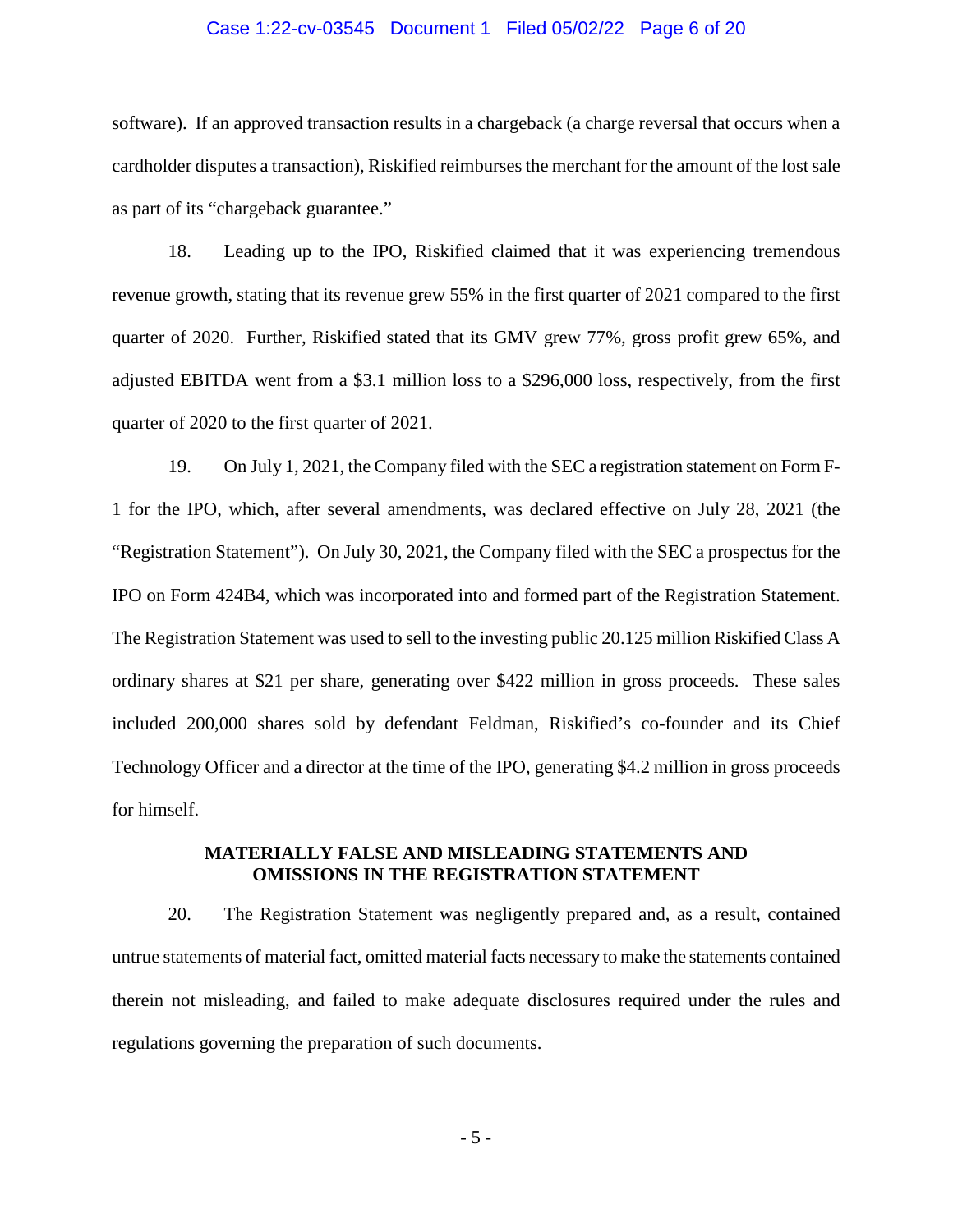### Case 1:22-cv-03545 Document 1 Filed 05/02/22 Page 6 of 20

software). If an approved transaction results in a chargeback (a charge reversal that occurs when a cardholder disputes a transaction), Riskified reimburses the merchant for the amount of the lost sale as part of its "chargeback guarantee."

18. Leading up to the IPO, Riskified claimed that it was experiencing tremendous revenue growth, stating that its revenue grew 55% in the first quarter of 2021 compared to the first quarter of 2020. Further, Riskified stated that its GMV grew 77%, gross profit grew 65%, and adjusted EBITDA went from a \$3.1 million loss to a \$296,000 loss, respectively, from the first quarter of 2020 to the first quarter of 2021.

19. On July 1, 2021, the Company filed with the SEC a registration statement on Form F-1 for the IPO, which, after several amendments, was declared effective on July 28, 2021 (the "Registration Statement"). On July 30, 2021, the Company filed with the SEC a prospectus for the IPO on Form 424B4, which was incorporated into and formed part of the Registration Statement. The Registration Statement was used to sell to the investing public 20.125 million Riskified Class A ordinary shares at \$21 per share, generating over \$422 million in gross proceeds. These sales included 200,000 shares sold by defendant Feldman, Riskified's co-founder and its Chief Technology Officer and a director at the time of the IPO, generating \$4.2 million in gross proceeds for himself.

### **MATERIALLY FALSE AND MISLEADING STATEMENTS AND OMISSIONS IN THE REGISTRATION STATEMENT**

20. The Registration Statement was negligently prepared and, as a result, contained untrue statements of material fact, omitted material facts necessary to make the statements contained therein not misleading, and failed to make adequate disclosures required under the rules and regulations governing the preparation of such documents.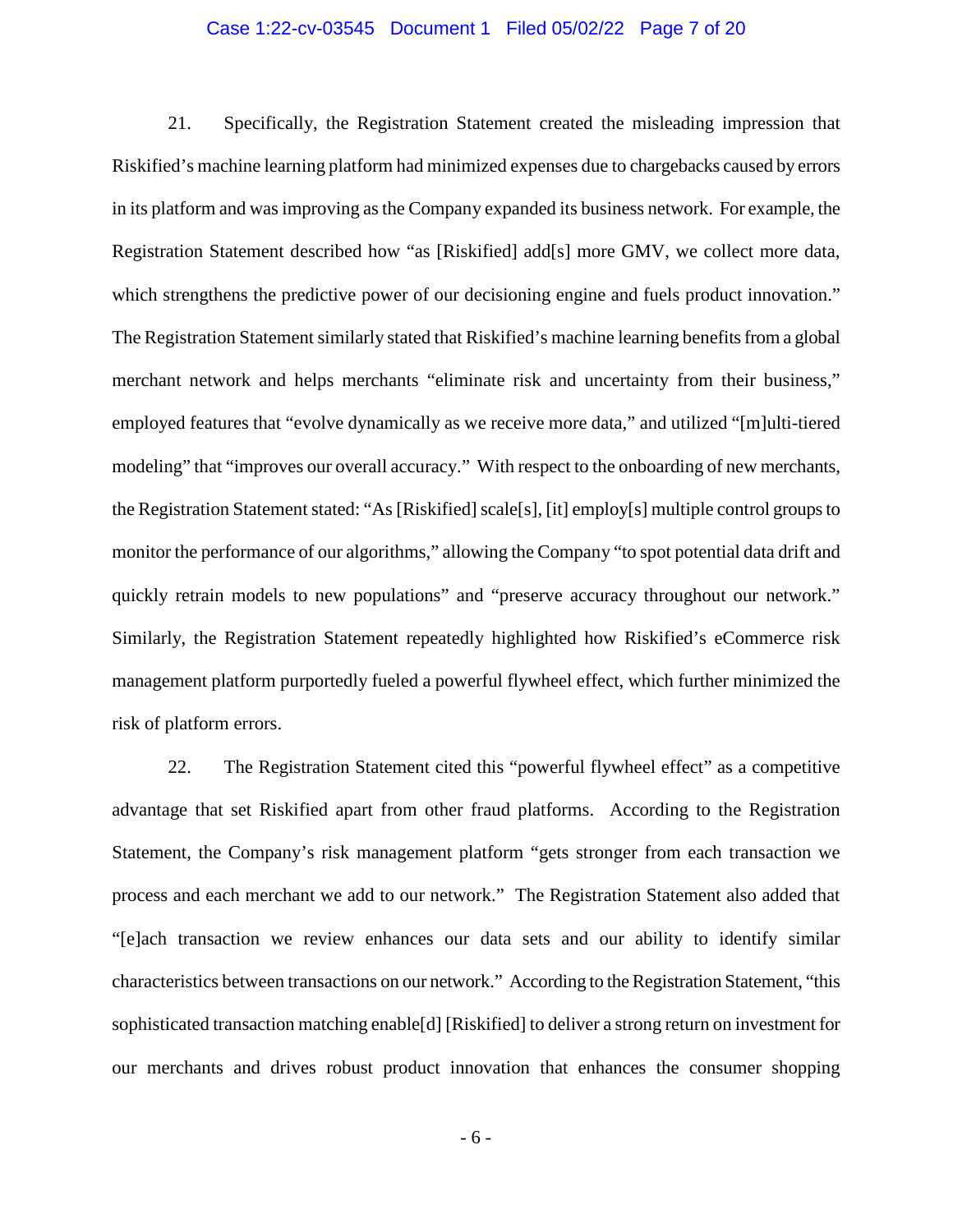### Case 1:22-cv-03545 Document 1 Filed 05/02/22 Page 7 of 20

21. Specifically, the Registration Statement created the misleading impression that Riskified's machine learning platform had minimized expenses due to chargebacks caused by errors in its platform and was improving as the Company expanded its business network. For example, the Registration Statement described how "as [Riskified] add[s] more GMV, we collect more data, which strengthens the predictive power of our decisioning engine and fuels product innovation." The Registration Statement similarly stated that Riskified's machine learning benefits from a global merchant network and helps merchants "eliminate risk and uncertainty from their business," employed features that "evolve dynamically as we receive more data," and utilized "[m]ulti-tiered modeling" that "improves our overall accuracy." With respect to the onboarding of new merchants, the Registration Statement stated: "As [Riskified] scale[s], [it] employ[s] multiple control groups to monitor the performance of our algorithms," allowing the Company "to spot potential data drift and quickly retrain models to new populations" and "preserve accuracy throughout our network." Similarly, the Registration Statement repeatedly highlighted how Riskified's eCommerce risk management platform purportedly fueled a powerful flywheel effect, which further minimized the risk of platform errors.

22. The Registration Statement cited this "powerful flywheel effect" as a competitive advantage that set Riskified apart from other fraud platforms. According to the Registration Statement, the Company's risk management platform "gets stronger from each transaction we process and each merchant we add to our network." The Registration Statement also added that "[e]ach transaction we review enhances our data sets and our ability to identify similar characteristics between transactions on our network." According to the Registration Statement, "this sophisticated transaction matching enable[d] [Riskified] to deliver a strong return on investment for our merchants and drives robust product innovation that enhances the consumer shopping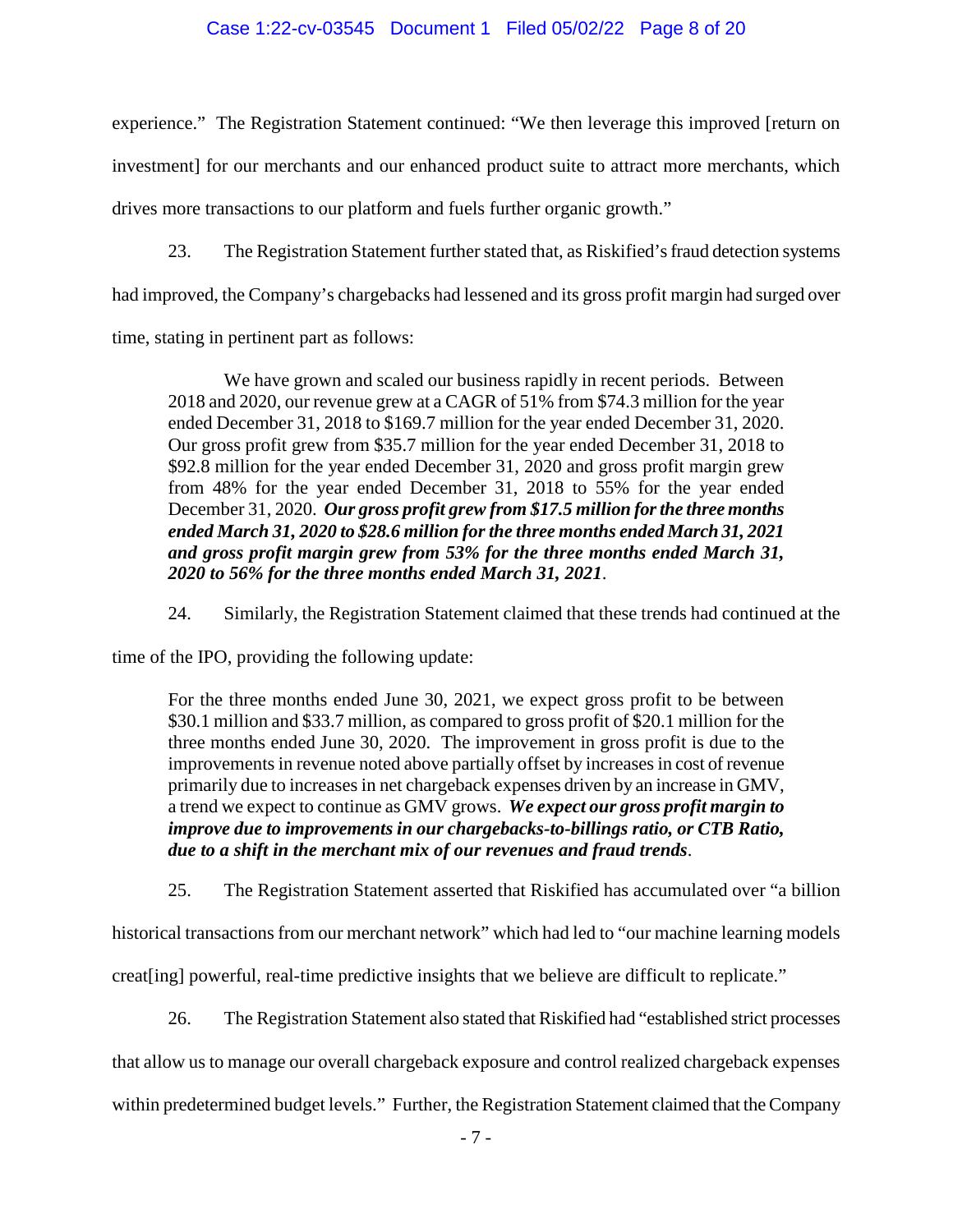### Case 1:22-cv-03545 Document 1 Filed 05/02/22 Page 8 of 20

experience." The Registration Statement continued: "We then leverage this improved [return on investment] for our merchants and our enhanced product suite to attract more merchants, which drives more transactions to our platform and fuels further organic growth."

23. The Registration Statement further stated that, as Riskified's fraud detection systems

had improved, the Company's chargebacks had lessened and its gross profit margin had surged over

time, stating in pertinent part as follows:

We have grown and scaled our business rapidly in recent periods. Between 2018 and 2020, our revenue grew at a CAGR of 51% from \$74.3 million for the year ended December 31, 2018 to \$169.7 million for the year ended December 31, 2020. Our gross profit grew from \$35.7 million for the year ended December 31, 2018 to \$92.8 million for the year ended December 31, 2020 and gross profit margin grew from 48% for the year ended December 31, 2018 to 55% for the year ended December 31, 2020. *Our gross profit grew from \$17.5 million for the three months ended March 31, 2020 to \$28.6 million for the three months ended March 31, 2021 and gross profit margin grew from 53% for the three months ended March 31, 2020 to 56% for the three months ended March 31, 2021*.

24. Similarly, the Registration Statement claimed that these trends had continued at the

time of the IPO, providing the following update:

For the three months ended June 30, 2021, we expect gross profit to be between \$30.1 million and \$33.7 million, as compared to gross profit of \$20.1 million for the three months ended June 30, 2020. The improvement in gross profit is due to the improvements in revenue noted above partially offset by increases in cost of revenue primarily due to increases in net chargeback expenses driven by an increase in GMV, a trend we expect to continue as GMV grows. *We expect our gross profit margin to improve due to improvements in our chargebacks-to-billings ratio, or CTB Ratio, due to a shift in the merchant mix of our revenues and fraud trends*.

25. The Registration Statement asserted that Riskified has accumulated over "a billion

historical transactions from our merchant network" which had led to "our machine learning models creat[ing] powerful, real-time predictive insights that we believe are difficult to replicate."

26. The Registration Statement also stated that Riskified had "established strict processes that allow us to manage our overall chargeback exposure and control realized chargeback expenses within predetermined budget levels." Further, the Registration Statement claimed that the Company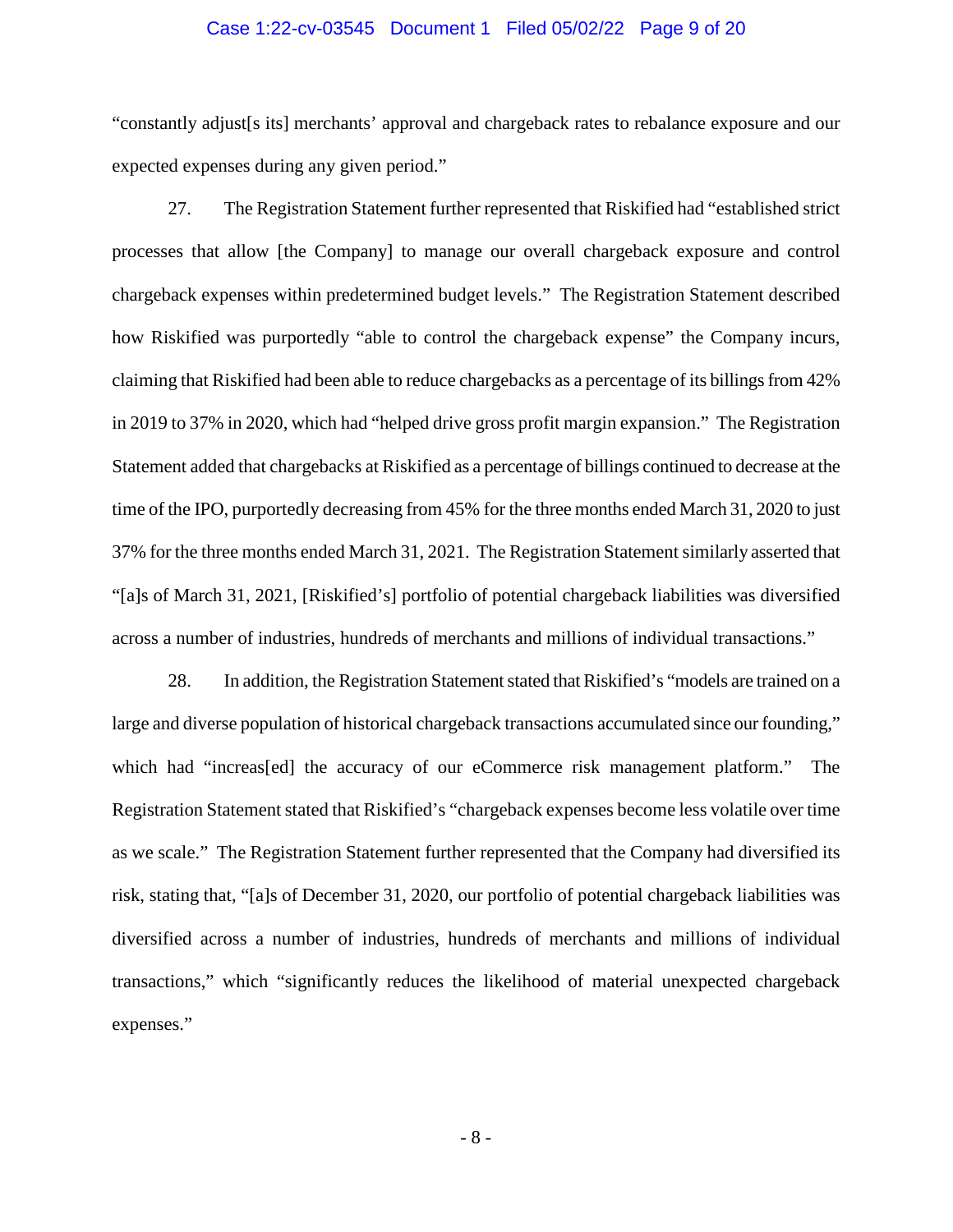### Case 1:22-cv-03545 Document 1 Filed 05/02/22 Page 9 of 20

"constantly adjust[s its] merchants' approval and chargeback rates to rebalance exposure and our expected expenses during any given period."

27. The Registration Statement further represented that Riskified had "established strict processes that allow [the Company] to manage our overall chargeback exposure and control chargeback expenses within predetermined budget levels." The Registration Statement described how Riskified was purportedly "able to control the chargeback expense" the Company incurs, claiming that Riskified had been able to reduce chargebacks as a percentage of its billings from 42% in 2019 to 37% in 2020, which had "helped drive gross profit margin expansion." The Registration Statement added that chargebacks at Riskified as a percentage of billings continued to decrease at the time of the IPO, purportedly decreasing from 45% for the three months ended March 31, 2020 to just 37% for the three months ended March 31, 2021. The Registration Statement similarly asserted that "[a]s of March 31, 2021, [Riskified's] portfolio of potential chargeback liabilities was diversified across a number of industries, hundreds of merchants and millions of individual transactions."

28. In addition, the Registration Statement stated that Riskified's "models are trained on a large and diverse population of historical chargeback transactions accumulated since our founding," which had "increas[ed] the accuracy of our eCommerce risk management platform." The Registration Statement stated that Riskified's "chargeback expenses become less volatile over time as we scale." The Registration Statement further represented that the Company had diversified its risk, stating that, "[a]s of December 31, 2020, our portfolio of potential chargeback liabilities was diversified across a number of industries, hundreds of merchants and millions of individual transactions," which "significantly reduces the likelihood of material unexpected chargeback expenses."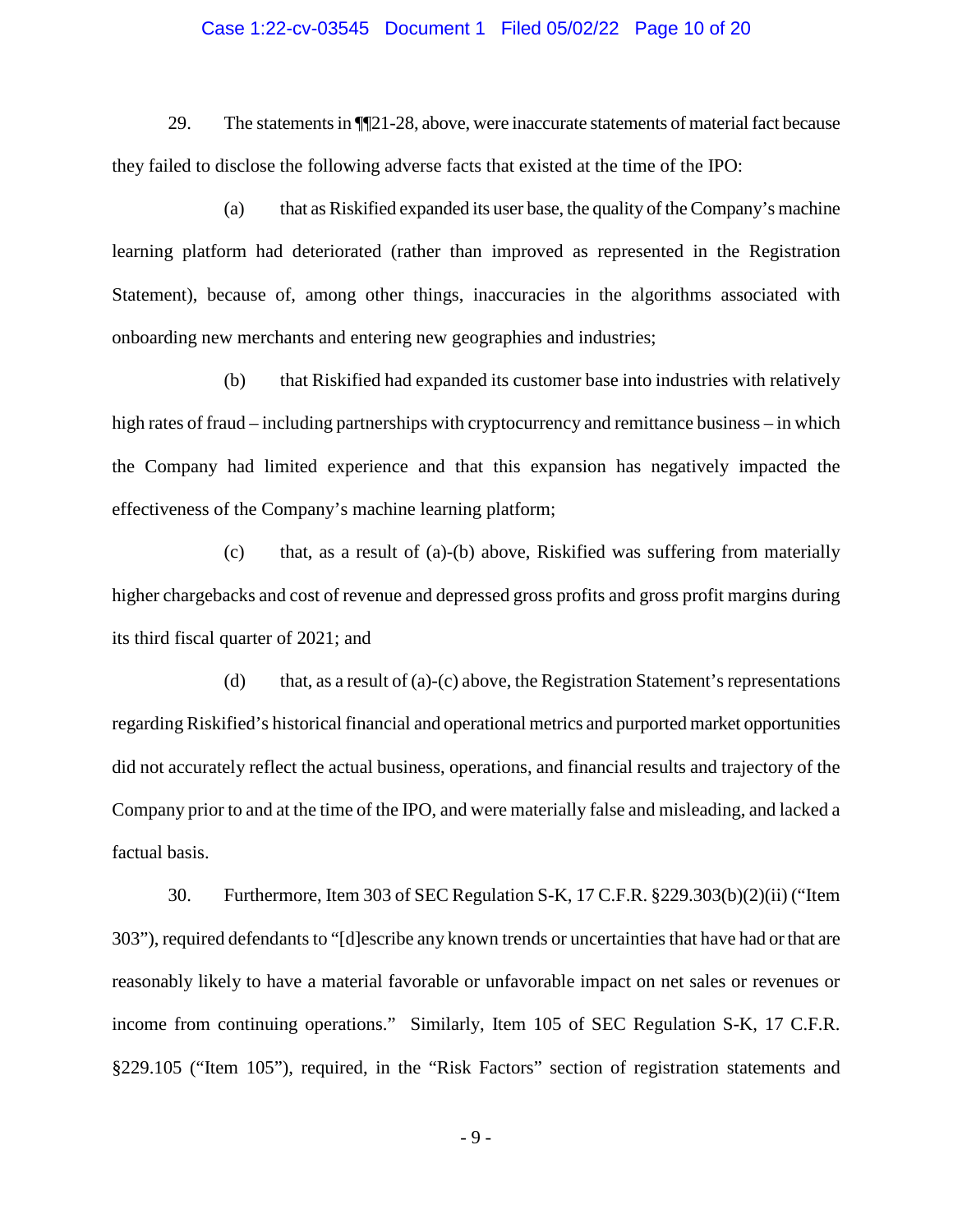### Case 1:22-cv-03545 Document 1 Filed 05/02/22 Page 10 of 20

29. The statements in ¶¶21-28, above, were inaccurate statements of material fact because they failed to disclose the following adverse facts that existed at the time of the IPO:

(a) that as Riskified expanded its user base, the quality of the Company's machine learning platform had deteriorated (rather than improved as represented in the Registration Statement), because of, among other things, inaccuracies in the algorithms associated with onboarding new merchants and entering new geographies and industries;

(b) that Riskified had expanded its customer base into industries with relatively high rates of fraud – including partnerships with cryptocurrency and remittance business – in which the Company had limited experience and that this expansion has negatively impacted the effectiveness of the Company's machine learning platform;

(c) that, as a result of (a)-(b) above, Riskified was suffering from materially higher chargebacks and cost of revenue and depressed gross profits and gross profit margins during its third fiscal quarter of 2021; and

(d) that, as a result of (a)-(c) above, the Registration Statement's representations regarding Riskified's historical financial and operational metrics and purported market opportunities did not accurately reflect the actual business, operations, and financial results and trajectory of the Company prior to and at the time of the IPO, and were materially false and misleading, and lacked a factual basis.

30. Furthermore, Item 303 of SEC Regulation S-K, 17 C.F.R. §229.303(b)(2)(ii) ("Item 303"), required defendants to "[d]escribe any known trends or uncertainties that have had or that are reasonably likely to have a material favorable or unfavorable impact on net sales or revenues or income from continuing operations." Similarly, Item 105 of SEC Regulation S-K, 17 C.F.R. §229.105 ("Item 105"), required, in the "Risk Factors" section of registration statements and

- 9 -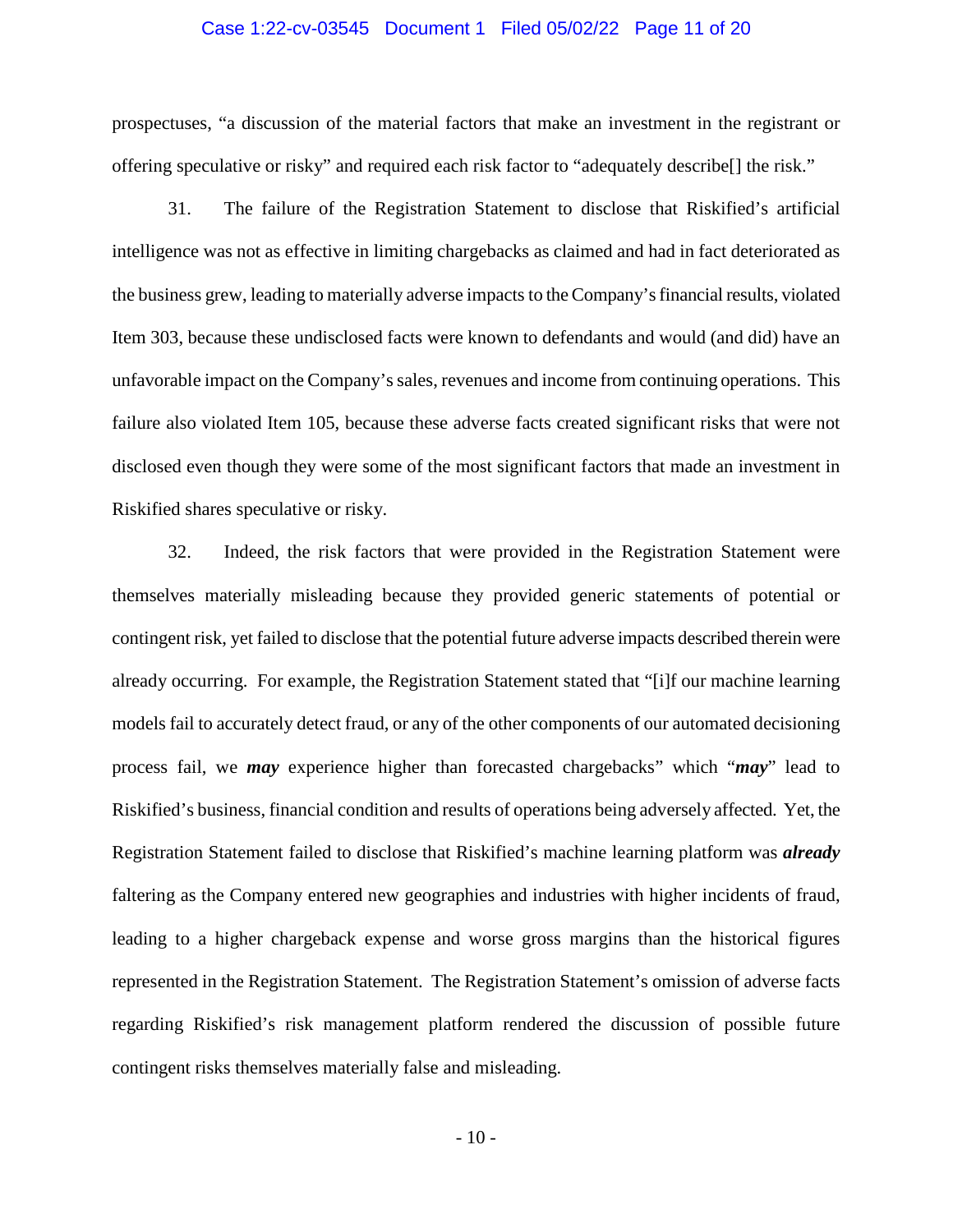### Case 1:22-cv-03545 Document 1 Filed 05/02/22 Page 11 of 20

prospectuses, "a discussion of the material factors that make an investment in the registrant or offering speculative or risky" and required each risk factor to "adequately describe[] the risk."

31. The failure of the Registration Statement to disclose that Riskified's artificial intelligence was not as effective in limiting chargebacks as claimed and had in fact deteriorated as the business grew, leading to materially adverse impacts to the Company's financial results, violated Item 303, because these undisclosed facts were known to defendants and would (and did) have an unfavorable impact on the Company's sales, revenues and income from continuing operations. This failure also violated Item 105, because these adverse facts created significant risks that were not disclosed even though they were some of the most significant factors that made an investment in Riskified shares speculative or risky.

32. Indeed, the risk factors that were provided in the Registration Statement were themselves materially misleading because they provided generic statements of potential or contingent risk, yet failed to disclose that the potential future adverse impacts described therein were already occurring. For example, the Registration Statement stated that "[i]f our machine learning models fail to accurately detect fraud, or any of the other components of our automated decisioning process fail, we *may* experience higher than forecasted chargebacks" which "*may*" lead to Riskified's business, financial condition and results of operations being adversely affected. Yet, the Registration Statement failed to disclose that Riskified's machine learning platform was *already* faltering as the Company entered new geographies and industries with higher incidents of fraud, leading to a higher chargeback expense and worse gross margins than the historical figures represented in the Registration Statement. The Registration Statement's omission of adverse facts regarding Riskified's risk management platform rendered the discussion of possible future contingent risks themselves materially false and misleading.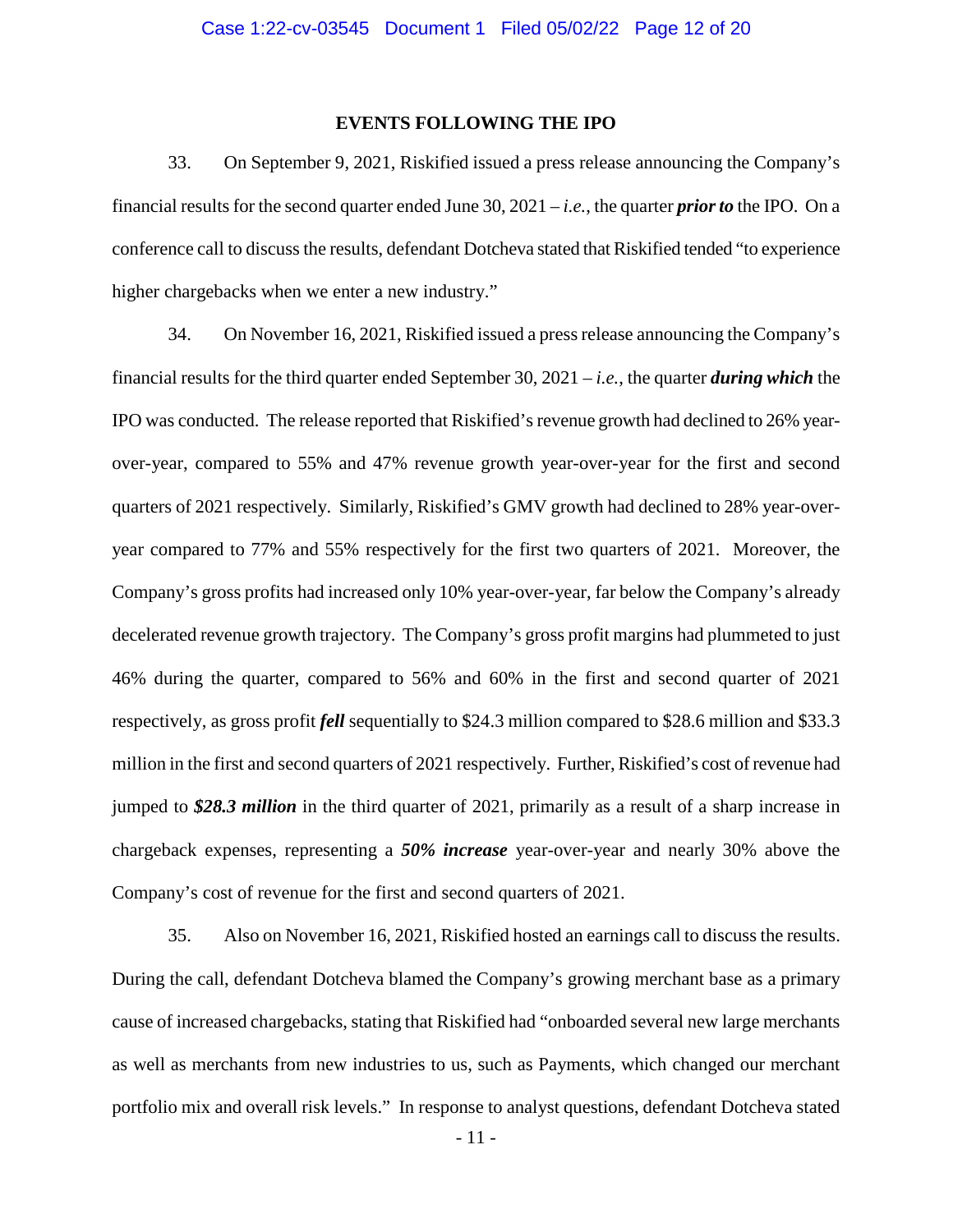### **EVENTS FOLLOWING THE IPO**

33. On September 9, 2021, Riskified issued a press release announcing the Company's financial results for the second quarter ended June 30, 2021 – *i.e.*, the quarter *prior to* the IPO. On a conference call to discuss the results, defendant Dotcheva stated that Riskified tended "to experience higher chargebacks when we enter a new industry."

34. On November 16, 2021, Riskified issued a press release announcing the Company's financial results for the third quarter ended September 30, 2021 – *i.e.*, the quarter *during which* the IPO was conducted. The release reported that Riskified's revenue growth had declined to 26% yearover-year, compared to 55% and 47% revenue growth year-over-year for the first and second quarters of 2021 respectively. Similarly, Riskified's GMV growth had declined to 28% year-overyear compared to 77% and 55% respectively for the first two quarters of 2021. Moreover, the Company's gross profits had increased only 10% year-over-year, far below the Company's already decelerated revenue growth trajectory. The Company's gross profit margins had plummeted to just 46% during the quarter, compared to 56% and 60% in the first and second quarter of 2021 respectively, as gross profit *fell* sequentially to \$24.3 million compared to \$28.6 million and \$33.3 million in the first and second quarters of 2021 respectively. Further, Riskified's cost of revenue had jumped to *\$28.3 million* in the third quarter of 2021, primarily as a result of a sharp increase in chargeback expenses, representing a *50% increase* year-over-year and nearly 30% above the Company's cost of revenue for the first and second quarters of 2021.

35. Also on November 16, 2021, Riskified hosted an earnings call to discuss the results. During the call, defendant Dotcheva blamed the Company's growing merchant base as a primary cause of increased chargebacks, stating that Riskified had "onboarded several new large merchants as well as merchants from new industries to us, such as Payments, which changed our merchant portfolio mix and overall risk levels." In response to analyst questions, defendant Dotcheva stated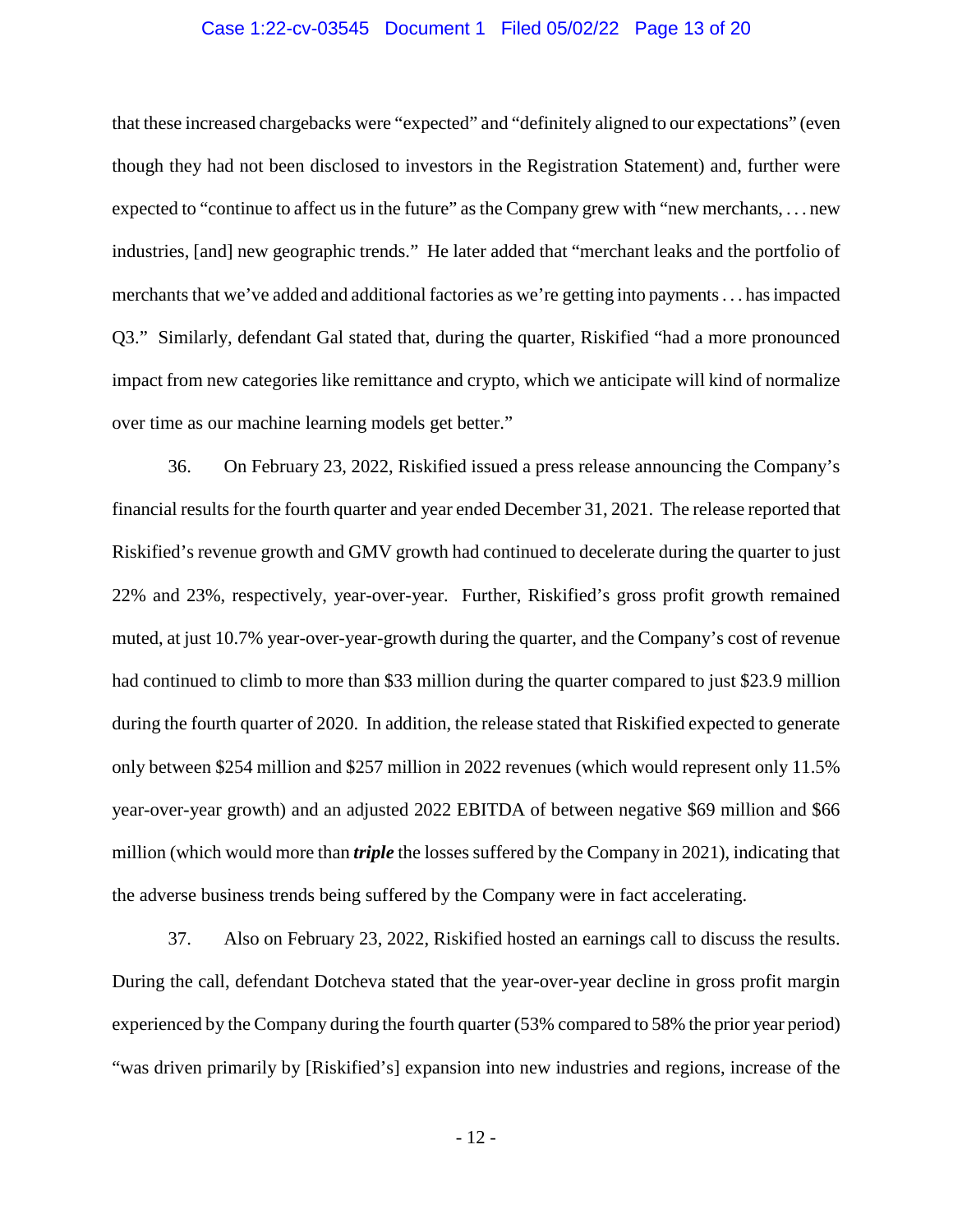### Case 1:22-cv-03545 Document 1 Filed 05/02/22 Page 13 of 20

that these increased chargebacks were "expected" and "definitely aligned to our expectations" (even though they had not been disclosed to investors in the Registration Statement) and, further were expected to "continue to affect us in the future" as the Company grew with "new merchants, ... new industries, [and] new geographic trends." He later added that "merchant leaks and the portfolio of merchants that we've added and additional factories as we're getting into payments . . . has impacted Q3." Similarly, defendant Gal stated that, during the quarter, Riskified "had a more pronounced impact from new categories like remittance and crypto, which we anticipate will kind of normalize over time as our machine learning models get better."

36. On February 23, 2022, Riskified issued a press release announcing the Company's financial results for the fourth quarter and year ended December 31, 2021. The release reported that Riskified's revenue growth and GMV growth had continued to decelerate during the quarter to just 22% and 23%, respectively, year-over-year. Further, Riskified's gross profit growth remained muted, at just 10.7% year-over-year-growth during the quarter, and the Company's cost of revenue had continued to climb to more than \$33 million during the quarter compared to just \$23.9 million during the fourth quarter of 2020. In addition, the release stated that Riskified expected to generate only between \$254 million and \$257 million in 2022 revenues (which would represent only 11.5% year-over-year growth) and an adjusted 2022 EBITDA of between negative \$69 million and \$66 million (which would more than *triple* the losses suffered by the Company in 2021), indicating that the adverse business trends being suffered by the Company were in fact accelerating.

37. Also on February 23, 2022, Riskified hosted an earnings call to discuss the results. During the call, defendant Dotcheva stated that the year-over-year decline in gross profit margin experienced by the Company during the fourth quarter (53% compared to 58% the prior year period) "was driven primarily by [Riskified's] expansion into new industries and regions, increase of the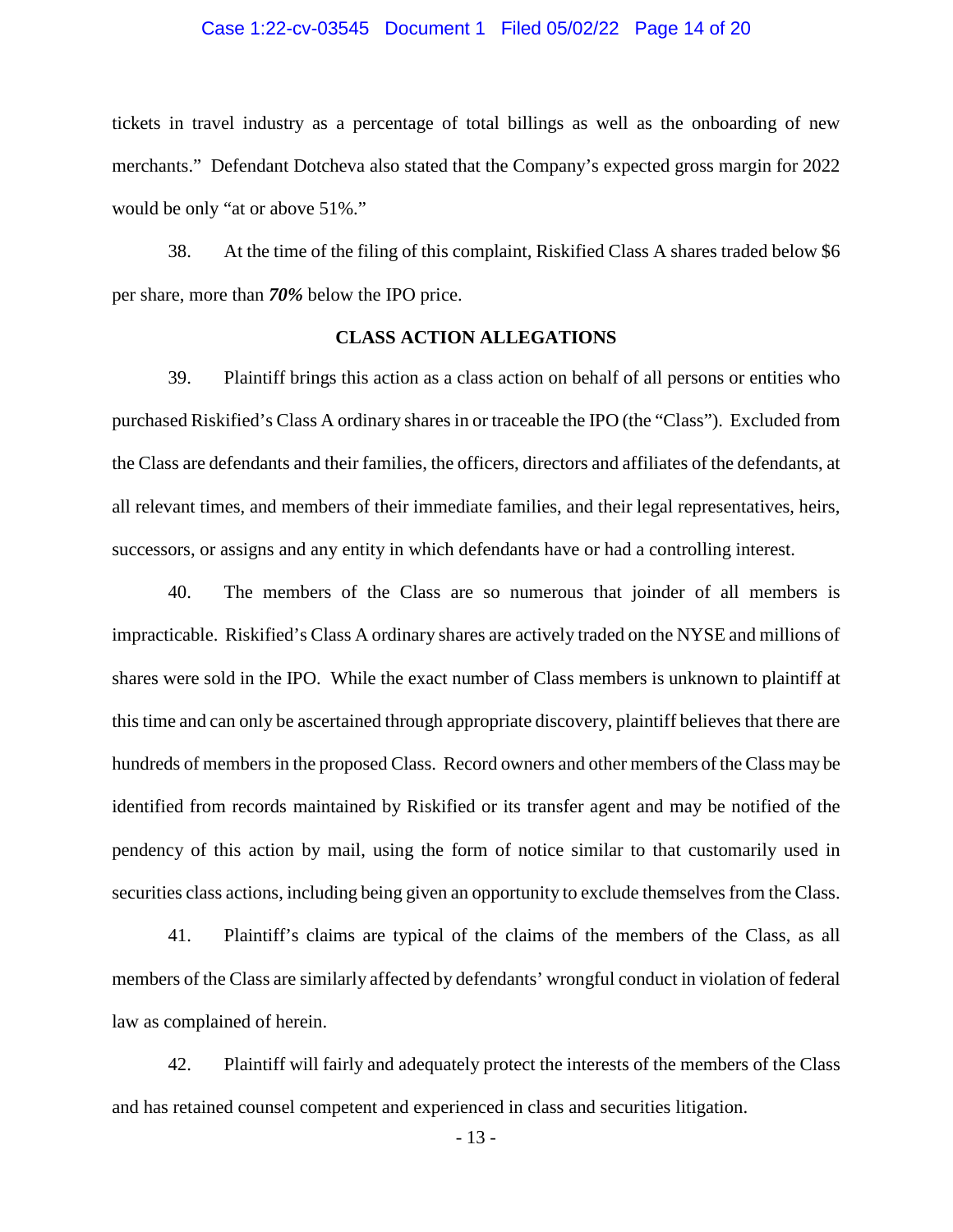### Case 1:22-cv-03545 Document 1 Filed 05/02/22 Page 14 of 20

tickets in travel industry as a percentage of total billings as well as the onboarding of new merchants." Defendant Dotcheva also stated that the Company's expected gross margin for 2022 would be only "at or above 51%."

38. At the time of the filing of this complaint, Riskified Class A shares traded below \$6 per share, more than *70%* below the IPO price.

### **CLASS ACTION ALLEGATIONS**

39. Plaintiff brings this action as a class action on behalf of all persons or entities who purchased Riskified's Class A ordinary shares in or traceable the IPO (the "Class"). Excluded from the Class are defendants and their families, the officers, directors and affiliates of the defendants, at all relevant times, and members of their immediate families, and their legal representatives, heirs, successors, or assigns and any entity in which defendants have or had a controlling interest.

40. The members of the Class are so numerous that joinder of all members is impracticable. Riskified's Class A ordinary shares are actively traded on the NYSE and millions of shares were sold in the IPO. While the exact number of Class members is unknown to plaintiff at this time and can only be ascertained through appropriate discovery, plaintiff believes that there are hundreds of members in the proposed Class. Record owners and other members of the Class may be identified from records maintained by Riskified or its transfer agent and may be notified of the pendency of this action by mail, using the form of notice similar to that customarily used in securities class actions, including being given an opportunity to exclude themselves from the Class.

41. Plaintiff's claims are typical of the claims of the members of the Class, as all members of the Class are similarly affected by defendants' wrongful conduct in violation of federal law as complained of herein.

42. Plaintiff will fairly and adequately protect the interests of the members of the Class and has retained counsel competent and experienced in class and securities litigation.

- 13 -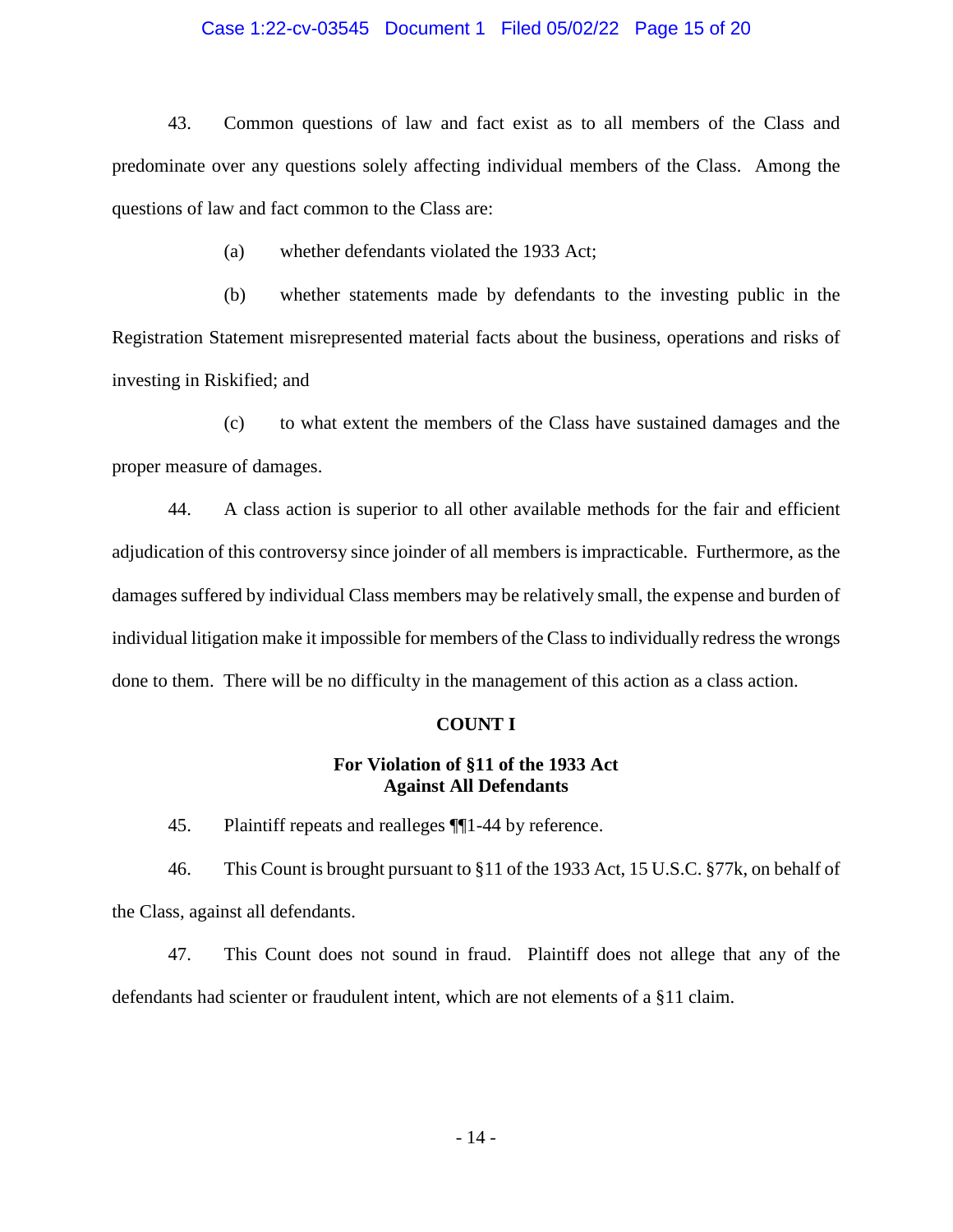### Case 1:22-cv-03545 Document 1 Filed 05/02/22 Page 15 of 20

43. Common questions of law and fact exist as to all members of the Class and predominate over any questions solely affecting individual members of the Class. Among the questions of law and fact common to the Class are:

(a) whether defendants violated the 1933 Act;

(b) whether statements made by defendants to the investing public in the Registration Statement misrepresented material facts about the business, operations and risks of investing in Riskified; and

(c) to what extent the members of the Class have sustained damages and the proper measure of damages.

44. A class action is superior to all other available methods for the fair and efficient adjudication of this controversy since joinder of all members is impracticable. Furthermore, as the damages suffered by individual Class members may be relatively small, the expense and burden of individual litigation make it impossible for members of the Class to individually redress the wrongs done to them. There will be no difficulty in the management of this action as a class action.

#### **COUNT I**

## **For Violation of §11 of the 1933 Act Against All Defendants**

45. Plaintiff repeats and realleges ¶¶1-44 by reference.

46. This Count is brought pursuant to §11 of the 1933 Act, 15 U.S.C. §77k, on behalf of the Class, against all defendants.

47. This Count does not sound in fraud. Plaintiff does not allege that any of the defendants had scienter or fraudulent intent, which are not elements of a §11 claim.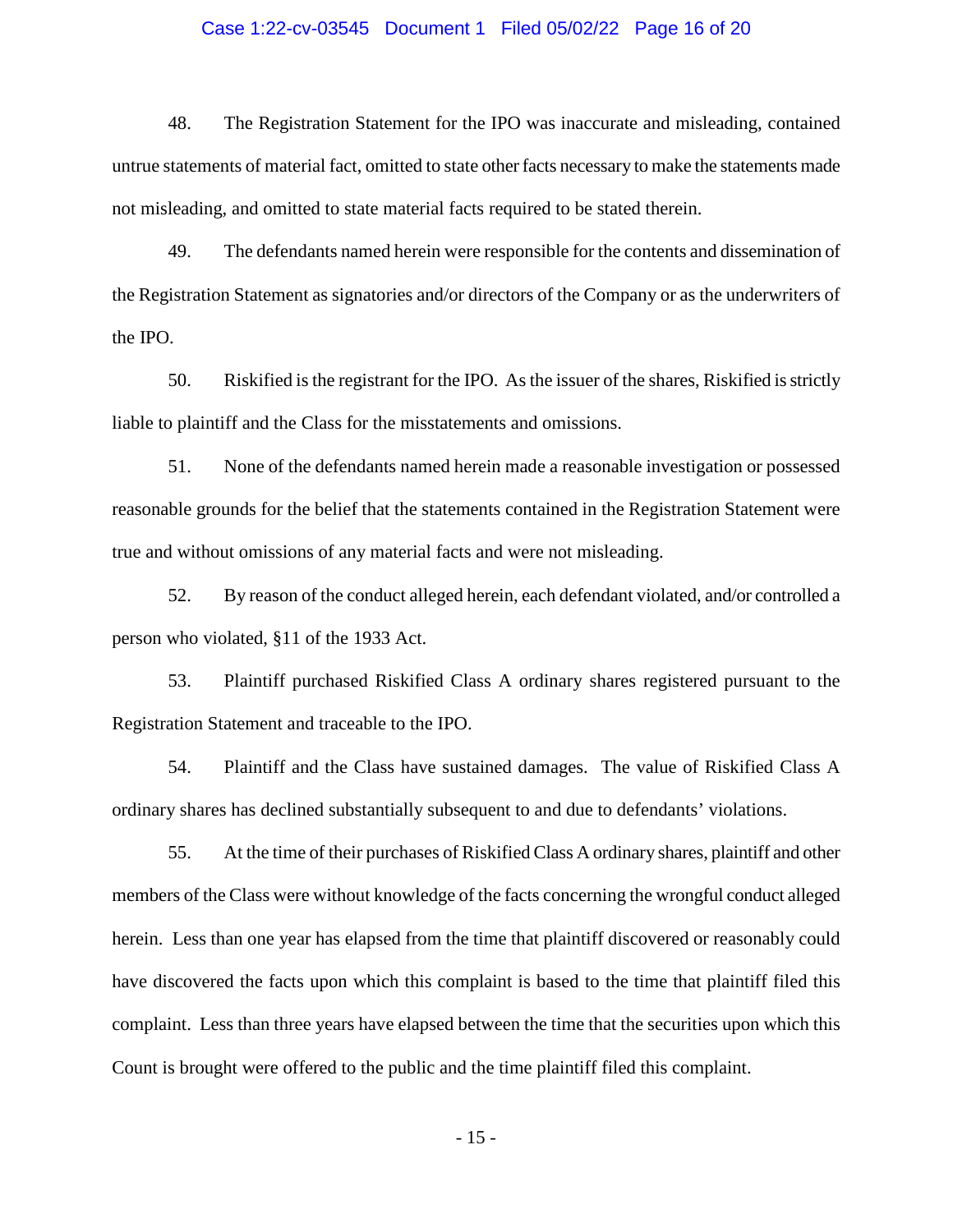### Case 1:22-cv-03545 Document 1 Filed 05/02/22 Page 16 of 20

48. The Registration Statement for the IPO was inaccurate and misleading, contained untrue statements of material fact, omitted to state other facts necessary to make the statements made not misleading, and omitted to state material facts required to be stated therein.

49. The defendants named herein were responsible for the contents and dissemination of the Registration Statement as signatories and/or directors of the Company or as the underwriters of the IPO.

50. Riskified is the registrant for the IPO. As the issuer of the shares, Riskified is strictly liable to plaintiff and the Class for the misstatements and omissions.

51. None of the defendants named herein made a reasonable investigation or possessed reasonable grounds for the belief that the statements contained in the Registration Statement were true and without omissions of any material facts and were not misleading.

52. By reason of the conduct alleged herein, each defendant violated, and/or controlled a person who violated, §11 of the 1933 Act.

53. Plaintiff purchased Riskified Class A ordinary shares registered pursuant to the Registration Statement and traceable to the IPO.

54. Plaintiff and the Class have sustained damages. The value of Riskified Class A ordinary shares has declined substantially subsequent to and due to defendants' violations.

55. At the time of their purchases of Riskified Class A ordinary shares, plaintiff and other members of the Class were without knowledge of the facts concerning the wrongful conduct alleged herein. Less than one year has elapsed from the time that plaintiff discovered or reasonably could have discovered the facts upon which this complaint is based to the time that plaintiff filed this complaint. Less than three years have elapsed between the time that the securities upon which this Count is brought were offered to the public and the time plaintiff filed this complaint.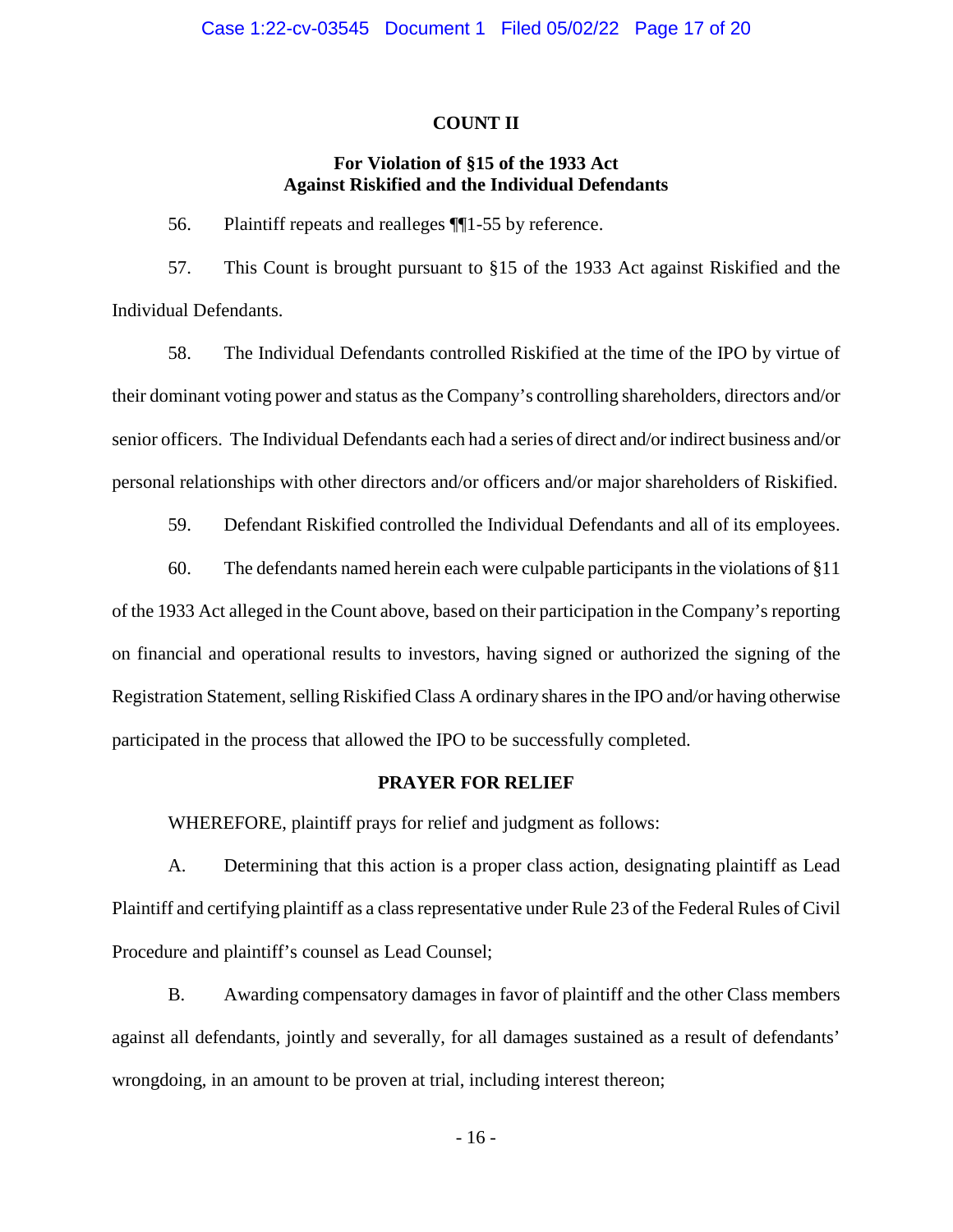#### **COUNT II**

## **For Violation of §15 of the 1933 Act Against Riskified and the Individual Defendants**

56. Plaintiff repeats and realleges ¶¶1-55 by reference.

57. This Count is brought pursuant to §15 of the 1933 Act against Riskified and the Individual Defendants.

58. The Individual Defendants controlled Riskified at the time of the IPO by virtue of their dominant voting power and status as the Company's controlling shareholders, directors and/or senior officers. The Individual Defendants each had a series of direct and/or indirect business and/or personal relationships with other directors and/or officers and/or major shareholders of Riskified.

59. Defendant Riskified controlled the Individual Defendants and all of its employees.

60. The defendants named herein each were culpable participants in the violations of §11 of the 1933 Act alleged in the Count above, based on their participation in the Company's reporting on financial and operational results to investors, having signed or authorized the signing of the Registration Statement, selling Riskified Class A ordinary shares in the IPO and/or having otherwise participated in the process that allowed the IPO to be successfully completed.

## **PRAYER FOR RELIEF**

WHEREFORE, plaintiff prays for relief and judgment as follows:

A. Determining that this action is a proper class action, designating plaintiff as Lead Plaintiff and certifying plaintiff as a class representative under Rule 23 of the Federal Rules of Civil Procedure and plaintiff's counsel as Lead Counsel;

B. Awarding compensatory damages in favor of plaintiff and the other Class members against all defendants, jointly and severally, for all damages sustained as a result of defendants' wrongdoing, in an amount to be proven at trial, including interest thereon;

- 16 -